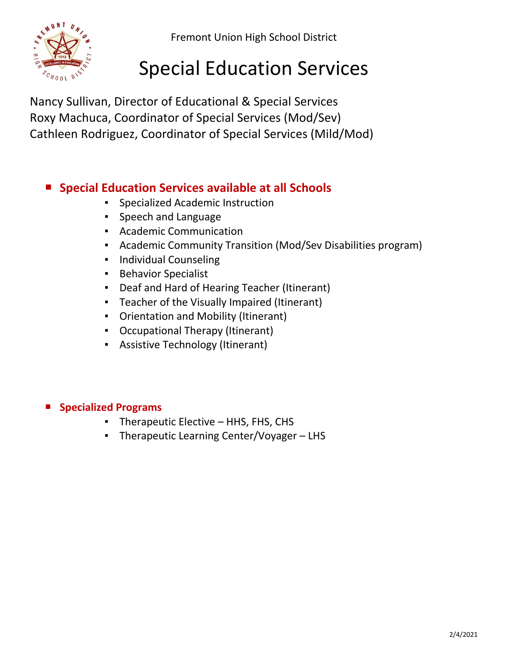Fremont Union High School District



# Special Education Services

Nancy Sullivan, Director of Educational & Special Services Roxy Machuca, Coordinator of Special Services (Mod/Sev) Cathleen Rodriguez, Coordinator of Special Services (Mild/Mod)

## ■ Special Education Services available at all Schools

- Specialized Academic Instruction
- Speech and Language
- Academic Communication
- Academic Community Transition (Mod/Sev Disabilities program)
- Individual Counseling
- Behavior Specialist
- Deaf and Hard of Hearing Teacher (Itinerant)
- Teacher of the Visually Impaired (Itinerant)
- Orientation and Mobility (Itinerant)
- Occupational Therapy (Itinerant)
- Assistive Technology (Itinerant)

#### **Specialized Programs**

- Therapeutic Elective HHS, FHS, CHS
- Therapeutic Learning Center/Voyager LHS